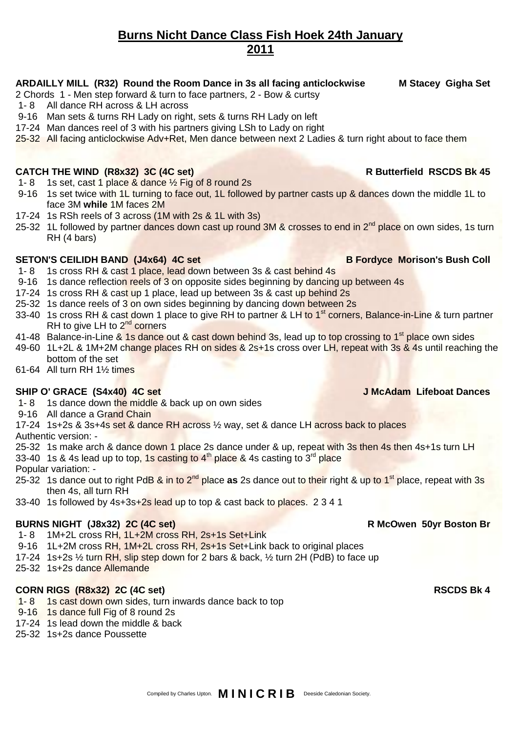# **Burns Nicht Dance Class Fish Hoek 24th January 2011**

### **ARDAILLY MILL (R32) Round the Room Dance in 3s all facing anticlockwise M Stacey Gigha Set**

2 Chords 1 - Men step forward & turn to face partners, 2 - Bow & curtsy

- 1- 8 All dance RH across & LH across
- 9-16 Man sets & turns RH Lady on right, sets & turns RH Lady on left
- 17-24 Man dances reel of 3 with his partners giving LSh to Lady on right
- 25-32 All facing anticlockwise Adv+Ret, Men dance between next 2 Ladies & turn right about to face them

### **CATCH THE WIND (R8x32) 3C (4C set) R Butterfield RSCDS Bk 45**

- 1- 8 1s set, cast 1 place  $\&$  dance  $\frac{1}{2}$  Fig of 8 round 2s
- 9-16 1s set twice with 1L turning to face out, 1L followed by partner casts up & dances down the middle 1L to face 3M **while** 1M faces 2M
- 17-24 1s RSh reels of 3 across (1M with 2s & 1L with 3s)
- 25-32 1L followed by partner dances down cast up round 3M & crosses to end in 2<sup>nd</sup> place on own sides, 1s turn RH (4 bars)

### **SETON'S CEILIDH BAND (J4x64) 4C set <b>B Fordyce Morison's Bush Coll**

- 1- 8 1s cross RH & cast 1 place, lead down between 3s & cast behind 4s
- 9-16 1s dance reflection reels of 3 on opposite sides beginning by dancing up between 4s
- 17-24 1s cross RH & cast up 1 place, lead up between 3s & cast up behind 2s
- 25-32 1s dance reels of 3 on own sides beginning by dancing down between 2s
- 33-40 1s cross RH & cast down 1 place to give RH to partner & LH to 1<sup>st</sup> corners, Balance-in-Line & turn partner RH to give LH to  $2^{nd}$  corners
- 41-48 Balance-in-Line & 1s dance out & cast down behind 3s, lead up to top crossing to 1<sup>st</sup> place own sides
- 49-60 1L+2L & 1M+2M change places RH on sides & 2s+1s cross over LH, repeat with 3s & 4s until reaching the bottom of the set
- 61-64 All turn RH 1½ times

### **SHIP O' GRACE (S4x40) 4C set J McAdam Lifeboat Dances**

1- 8 1s dance down the middle & back up on own sides

9-16 All dance a Grand Chain

17-24 1s+2s & 3s+4s set & dance RH across ½ way, set & dance LH across back to places Authentic version: -

25-32 1s make arch & dance down 1 place 2s dance under & up, repeat with 3s then 4s then 4s+1s turn LH

33-40 1s & 4s lead up to top, 1s casting to  $4<sup>th</sup>$  place & 4s casting to  $3<sup>rd</sup>$  place

Popular variation: -

- 25-32 1s dance out to right PdB & in to 2nd place **as** 2s dance out to their right & up to 1st place, repeat with 3s then 4s, all turn RH
- 33-40 1s followed by 4s+3s+2s lead up to top & cast back to places. 2 3 4 1

### **BURNS NIGHT** (J8x32) 2C (4C set) **R** McOwen 50yr Boston Br

- 1-8 1M+2L cross RH, 1L+2M cross RH, 2s+1s Set+Link
- 9-16 1L+2M cross RH, 1M+2L cross RH, 2s+1s Set+Link back to original places
- 17-24 1s+2s  $\frac{1}{2}$  turn RH, slip step down for 2 bars & back,  $\frac{1}{2}$  turn 2H (PdB) to face up
- 25-32 1s+2s dance Allemande

## **CORN RIGS** (R8x32) 2C (4C set) **RSCDS** Bk 4

- 1-8 1s cast down own sides, turn inwards dance back to top
- 9-16 1s dance full Fig of 8 round 2s
- 17-24 1s lead down the middle & back
- 25-32 1s+2s dance Poussette